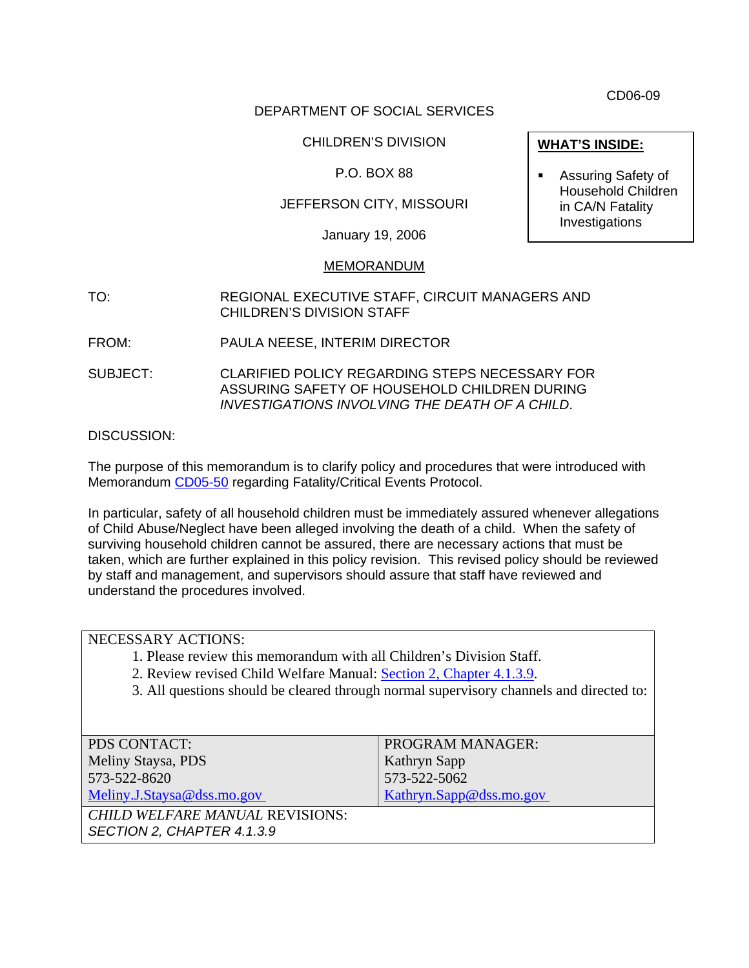CD06-09

## DEPARTMENT OF SOCIAL SERVICES

## CHILDREN'S DIVISION

## P.O. BOX 88

# JEFFERSON CITY, MISSOURI

January 19, 2006

#### MEMORANDUM

- TO: REGIONAL EXECUTIVE STAFF, CIRCUIT MANAGERS AND CHILDREN'S DIVISION STAFF
- FROM: PAULA NEESE, INTERIM DIRECTOR
- SUBJECT: CLARIFIED POLICY REGARDING STEPS NECESSARY FOR ASSURING SAFETY OF HOUSEHOLD CHILDREN DURING *INVESTIGATIONS INVOLVING THE DEATH OF A CHILD*.

DISCUSSION:

The purpose of this memorandum is to clarify policy and procedures that were introduced with Memorandum [CD05-50](http://www.dss.mo.gov/cd/info/memos/2005/50/cd0550.pdf) regarding Fatality/Critical Events Protocol.

In particular, safety of all household children must be immediately assured whenever allegations of Child Abuse/Neglect have been alleged involving the death of a child. When the safety of surviving household children cannot be assured, there are necessary actions that must be taken, which are further explained in this policy revision. This revised policy should be reviewed by staff and management, and supervisors should assure that staff have reviewed and understand the procedures involved.

## NECESSARY ACTIONS:

- 1. Please review this memorandum with all Children's Division Staff.
- 2. Review revised Child Welfare Manual: [Section 2, Chapter 4.1.3.9.](http://www.dss.mo.gov/cd/info/cwmanual/section2/ch4/sec2ch4sub3_9.htm)
- 3. All questions should be cleared through normal supervisory channels and directed to:

| PDS CONTACT:                           | <b>PROGRAM MANAGER:</b> |
|----------------------------------------|-------------------------|
| Meliny Staysa, PDS                     | Kathryn Sapp            |
| 573-522-8620                           | 573-522-5062            |
| Meliny.J.Staysa@dss.mo.gov             | Kathryn.Sapp@dss.mo.gov |
| <b>CHILD WELFARE MANUAL REVISIONS:</b> |                         |
| SECTION 2, CHAPTER 4.1.3.9             |                         |

- **WHAT'S INSIDE:**
- **Assuring Safety of** Household Children in CA/N Fatality Investigations